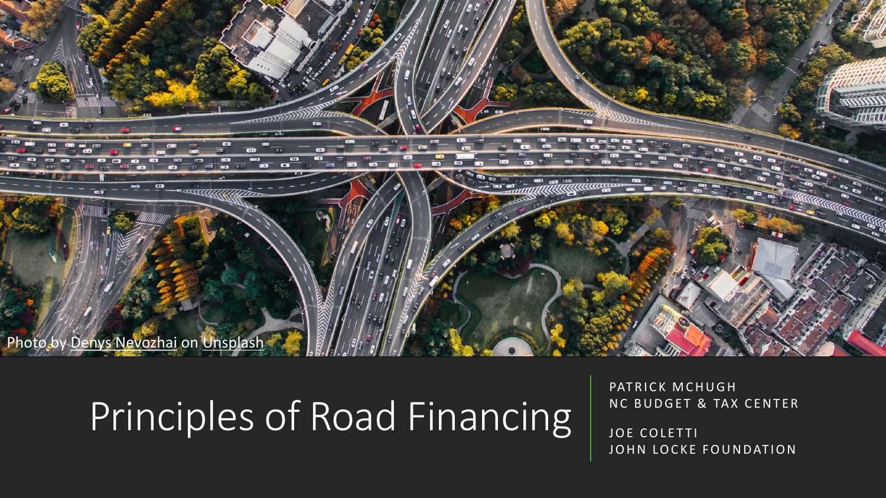

# Principles of Road Financing

PATRICK MCHUGH NC BUDGET & TAX CENTER

JOE COLETTI JOHN LOCKE FOUNDATION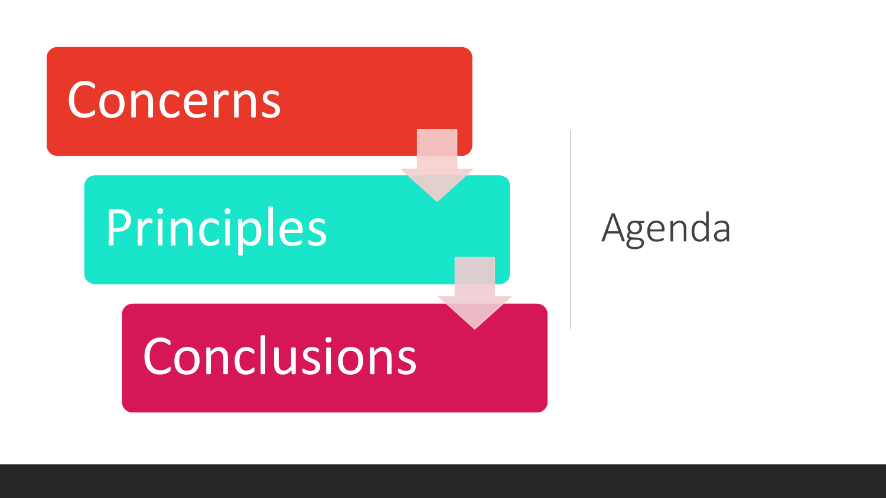

#### Agenda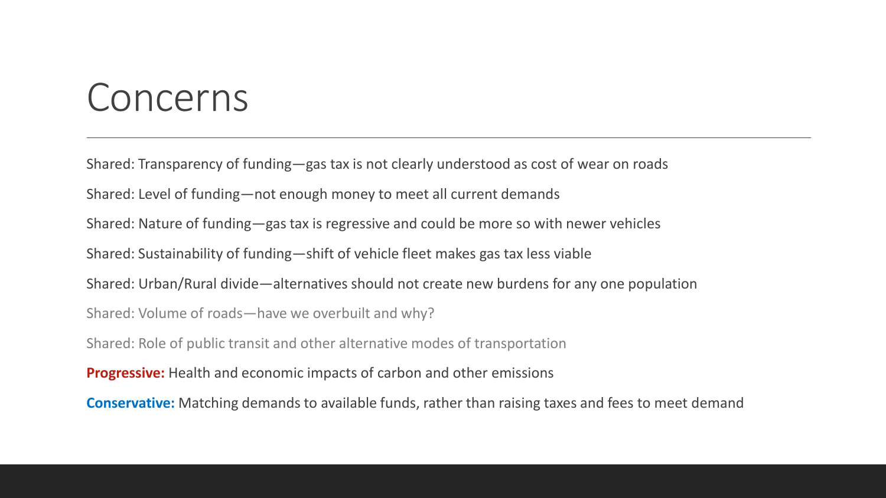#### Concerns

Shared: Transparency of funding—gas tax is not clearly understood as cost of wear on roads Shared: Level of funding—not enough money to meet all current demands Shared: Nature of funding—gas tax is regressive and could be more so with newer vehicles Shared: Sustainability of funding—shift of vehicle fleet makes gas tax less viable Shared: Urban/Rural divide—alternatives should not create new burdens for any one population Shared: Volume of roads—have we overbuilt and why? Shared: Role of public transit and other alternative modes of transportation **Progressive:** Health and economic impacts of carbon and other emissions **Conservative:** Matching demands to available funds, rather than raising taxes and fees to meet demand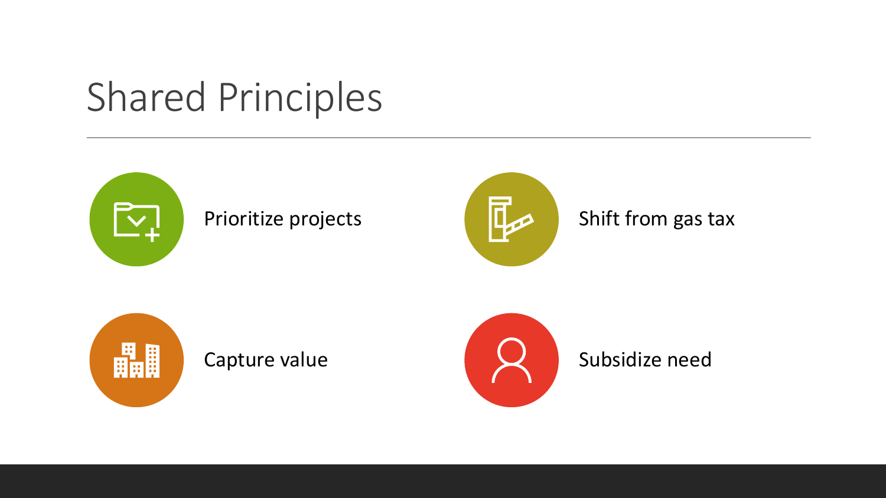## Shared Principles









Capture value **Subsidize need**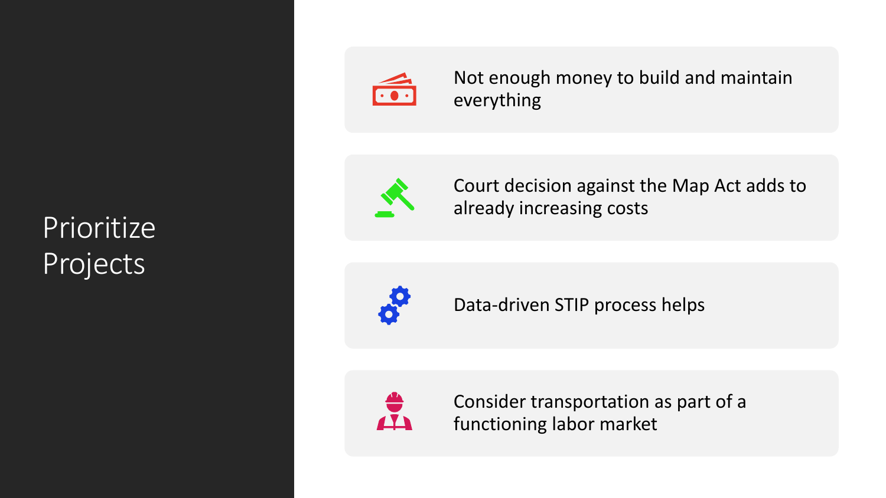#### Prioritize Projects



Not enough money to build and maintain everything



Court decision against the Map Act adds to already increasing costs



Data-driven STIP process helps



Consider transportation as part of a functioning labor market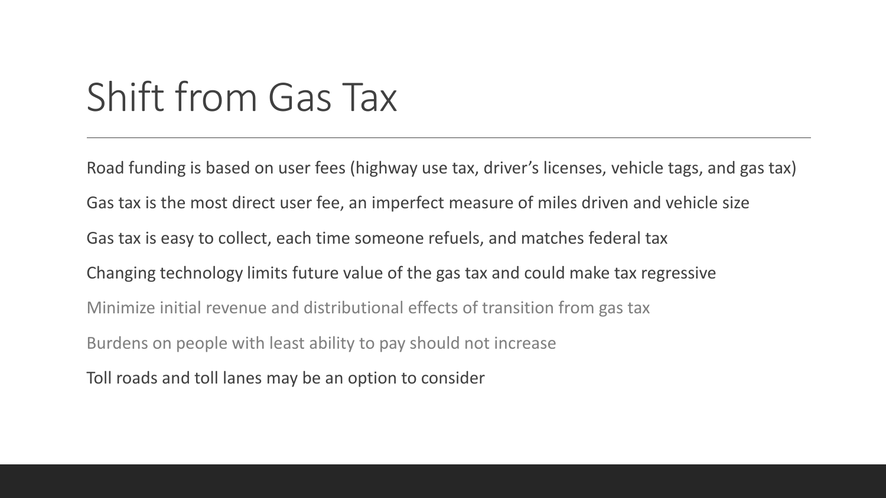# Shift from Gas Tax

Road funding is based on user fees (highway use tax, driver's licenses, vehicle tags, and gas tax) Gas tax is the most direct user fee, an imperfect measure of miles driven and vehicle size Gas tax is easy to collect, each time someone refuels, and matches federal tax Changing technology limits future value of the gas tax and could make tax regressive Minimize initial revenue and distributional effects of transition from gas tax Burdens on people with least ability to pay should not increase Toll roads and toll lanes may be an option to consider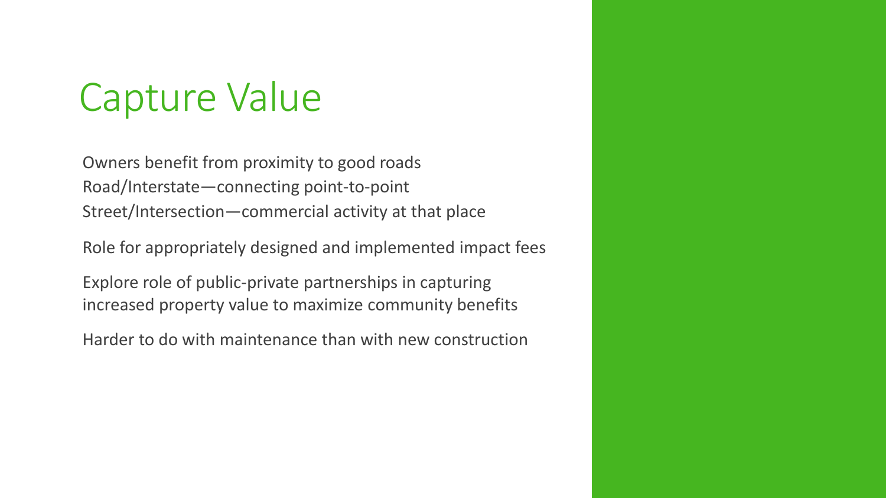# Capture Value

Owners benefit from proximity to good roads Road/Interstate—connecting point-to-point Street/Intersection—commercial activity at that place

Role for appropriately designed and implemented impact fees

Explore role of public-private partnerships in capturing increased property value to maximize community benefits

Harder to do with maintenance than with new construction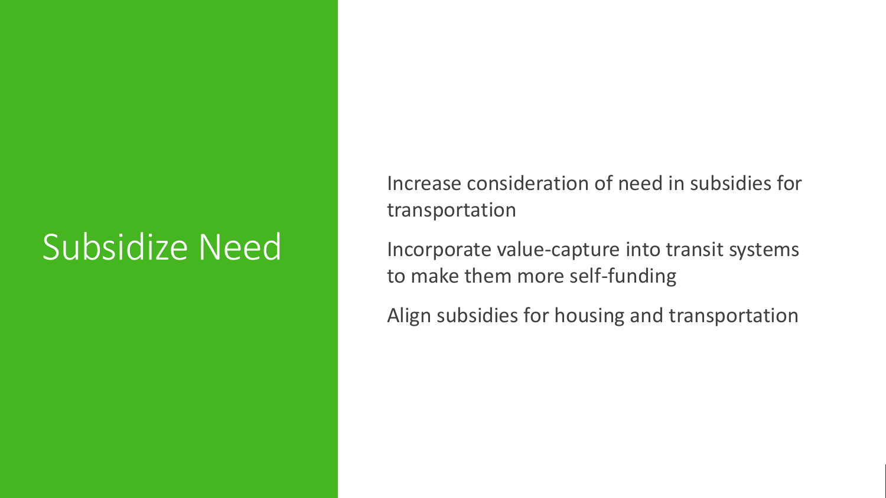### Subsidize Need

Increase consideration of need in subsidies for transportation

Incorporate value-capture into transit systems to make them more self-funding

Align subsidies for housing and transportation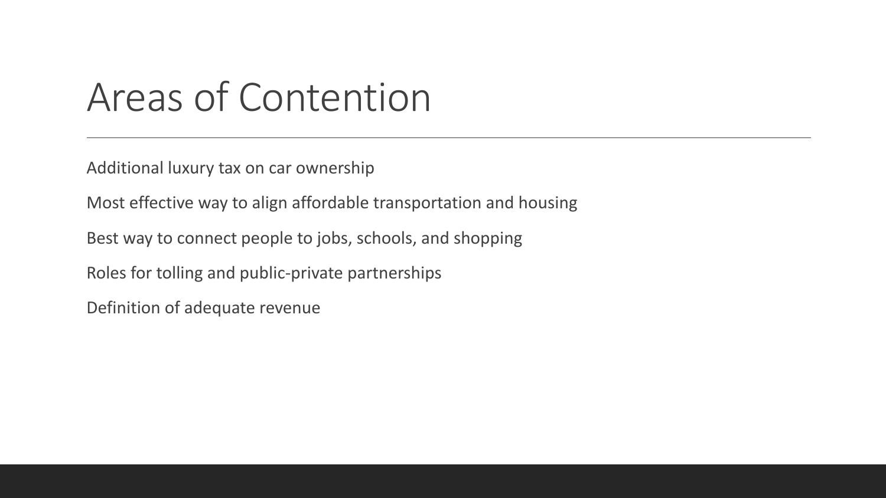## Areas of Contention

Additional luxury tax on car ownership

Most effective way to align affordable transportation and housing

Best way to connect people to jobs, schools, and shopping

Roles for tolling and public-private partnerships

Definition of adequate revenue